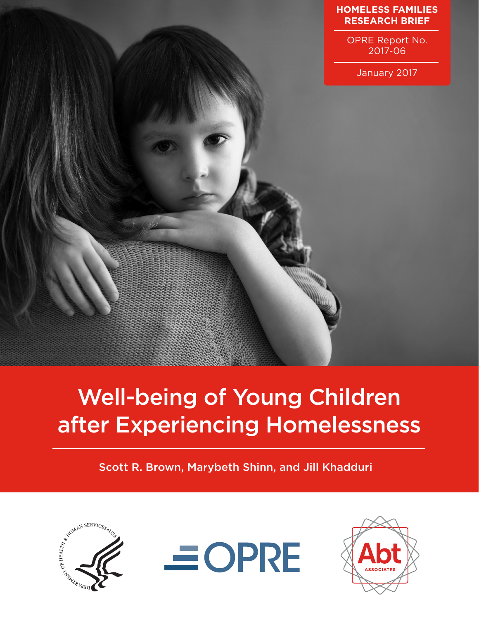

OPRE Report No. 2017-06

January 2017



# Well-being of Young Children after Experiencing Homelessness

Scott R. Brown, Marybeth Shinn, and Jill Khadduri





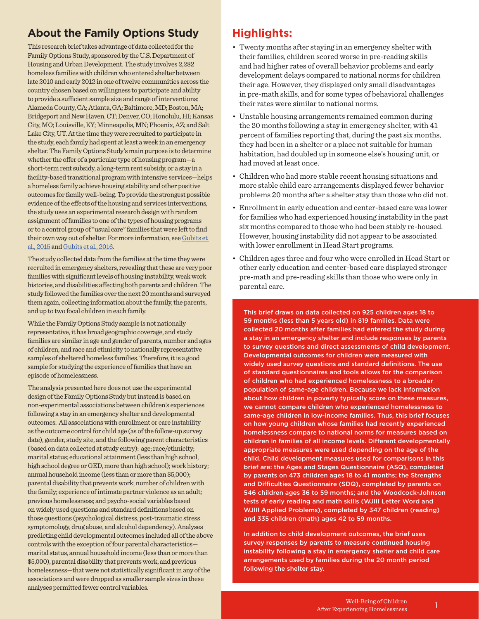## **About the Family Options Study**

This research brief takes advantage of data collected for the Family Options Study, sponsored by the U.S. Department of Housing and Urban Development. The study involves 2,282 homeless families with children who entered shelter between late 2010 and early 2012 in one of twelve communities across the country chosen based on willingness to participate and ability to provide a sufficient sample size and range of interventions: Alameda County, CA; Atlanta, GA; Baltimore, MD; Boston, MA; Bridgeport and New Haven, CT; Denver, CO; Honolulu, HI; Kansas City, MO; Louisville, KY; Minneapolis, MN; Phoenix, AZ; and Salt Lake City, UT. At the time they were recruited to participate in the study, each family had spent at least a week in an emergency shelter. The Family Options Study's main purpose is to determine whether the offer of a particular type of housing program—a short-term rent subsidy, a long-term rent subsidy, or a stay in a facility-based transitional program with intensive services—helps a homeless family achieve housing stability and other positive outcomes for family well-being. To provide the strongest possible evidence of the effects of the housing and services interventions, the study uses an experimental research design with random assignment of families to one of the types of housing programs or to a control group of "usual care" families that were left to find their own way out of shelter. For more information, see [Gubits et](https://www.huduser.gov/portal/portal/sites/default/files/pdf/FamilyOptionsStudy_final.pdf)  [al., 2015](https://www.huduser.gov/portal/portal/sites/default/files/pdf/FamilyOptionsStudy_final.pdf) an[d Gubits et al., 2016.](https://www.huduser.gov/portal/sites/default/files/pdf/Family-Options-Study-Full-Report.pdf)

The study collected data from the families at the time they were recruited in emergency shelters, revealing that these are very poor families with significant levels of housing instability, weak work histories, and disabilities affecting both parents and children. The study followed the families over the next 20 months and surveyed them again, collecting information about the family, the parents, and up to two focal children in each family.

While the Family Options Study sample is not nationally representative, it has broad geographic coverage, and study families are similar in age and gender of parents, number and ages of children, and race and ethnicity to nationally representative samples of sheltered homeless families. Therefore, it is a good sample for studying the experience of families that have an episode of homelessness.

The analysis presented here does not use the experimental design of the Family Options Study but instead is based on non-experimental associations between children's experiences following a stay in an emergency shelter and developmental outcomes. All associations with enrollment or care instability as the outcome control for child age (as of the follow-up survey date), gender, study site, and the following parent characteristics (based on data collected at study entry): age; race/ethnicity; marital status; educational attainment (less than high school, high school degree or GED, more than high school); work history; annual household income (less than or more than \$5,000); parental disability that prevents work; number of children with the family; experience of intimate partner violence as an adult; previous homelessness; and psycho-social variables based on widely used questions and standard definitions based on those questions (psychological distress, post-traumatic stress symptomology, drug abuse, and alcohol dependency). Analyses predicting child developmental outcomes included all of the above controls with the exception of four parental characteristics marital status, annual household income (less than or more than \$5,000), parental disability that prevents work, and previous homelessness—that were not statistically significant in any of the associations and were dropped as smaller sample sizes in these analyses permitted fewer control variables.

## **Highlights:**

- Twenty months after staying in an emergency shelter with their families, children scored worse in pre-reading skills and had higher rates of overall behavior problems and early development delays compared to national norms for children their age. However, they displayed only small disadvantages in pre-math skills, and for some types of behavioral challenges their rates were similar to national norms.
- Unstable housing arrangements remained common during the 20 months following a stay in emergency shelter, with 41 percent of families reporting that, during the past six months, they had been in a shelter or a place not suitable for human habitation, had doubled up in someone else's housing unit, or had moved at least once.
- Children who had more stable recent housing situations and more stable child care arrangements displayed fewer behavior problems 20 months after a shelter stay than those who did not.
- Enrollment in early education and center-based care was lower for families who had experienced housing instability in the past six months compared to those who had been stably re-housed. However, housing instability did not appear to be associated with lower enrollment in Head Start programs.
- Children ages three and four who were enrolled in Head Start or other early education and center-based care displayed stronger pre-math and pre-reading skills than those who were only in parental care.

This brief draws on data collected on 925 children ages 18 to 59 months (less than 5 years old) in 819 families. Data were collected 20 months after families had entered the study during a stay in an emergency shelter and include responses by parents to survey questions and direct assessments of child development. Developmental outcomes for children were measured with widely used survey questions and standard definitions. The use of standard questionnaires and tools allows for the comparison of children who had experienced homelessness to a broader population of same-age children. Because we lack information about how children in poverty typically score on these measures, we cannot compare children who experienced homelessness to same-age children in low-income families. Thus, this brief focuses on how young children whose families had recently experienced homelessness compare to national norms for measures based on children in families of all income levels. Different developmentally appropriate measures were used depending on the age of the child. Child development measures used for comparisons in this brief are: the Ages and Stages Questionnaire (ASQ), completed by parents on 473 children ages 18 to 41 months; the Strengths and Difficulties Questionnaire (SDQ), completed by parents on 546 children ages 36 to 59 months; and the Woodcock-Johnson tests of early reading and math skills (WJIII Letter Word and WJIII Applied Problems), completed by 347 children (reading) and 335 children (math) ages 42 to 59 months.

In addition to child development outcomes, the brief uses survey responses by parents to measure continued housing instability following a stay in emergency shelter and child care arrangements used by families during the 20 month period following the shelter stay.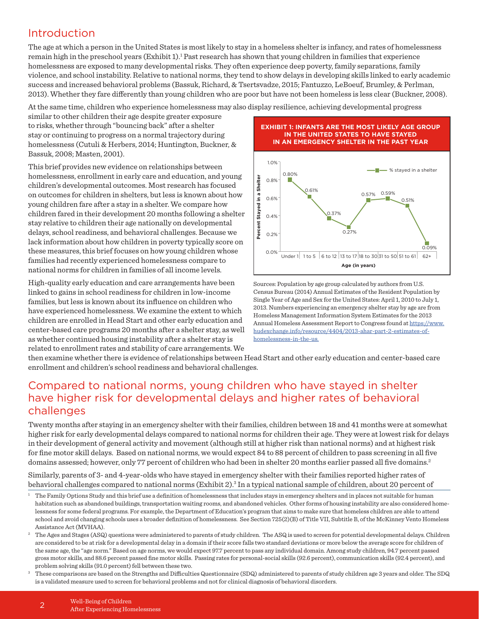## Introduction

The age at which a person in the United States is most likely to stay in a homeless shelter is infancy, and rates of homelessness remain high in the preschool years (Exhibit 1).<sup>1</sup> Past research has shown that young children in families that experience homelessness are exposed to many developmental risks. They often experience deep poverty, family separations, family violence, and school instability. Relative to national norms, they tend to show delays in developing skills linked to early academic success and increased behavioral problems (Bassuk, Richard, & Tsertsvadze, 2015; Fantuzzo, LeBoeuf, Brumley, & Perlman, 2013). Whether they fare differently than young children who are poor but have not been homeless is less clear (Buckner, 2008).

At the same time, children who experience homelessness may also display resilience, achieving developmental progress

similar to other children their age despite greater exposure to risks, whether through "bouncing back" after a shelter stay or continuing to progress on a normal trajectory during homelessness (Cutuli & Herbers, 2014; Huntington, Buckner, & Bassuk, 2008; Masten, 2001).

This brief provides new evidence on relationships between homelessness, enrollment in early care and education, and young children's developmental outcomes. Most research has focused on outcomes for children in shelters, but less is known about how young children fare after a stay in a shelter. We compare how children fared in their development 20 months following a shelter stay relative to children their age nationally on developmental delays, school readiness, and behavioral challenges. Because we lack information about how children in poverty typically score on these measures, this brief focuses on how young children whose families had recently experienced homelessness compare to national norms for children in families of all income levels. inducessies, a critique interaction control and electron interactions. The set of the screen for clinical problems and not for the screen for clinical problems and not for the screen for the screen for the screen for the p

High-quality early education and care arrangements have been linked to gains in school readiness for children in low-income families, but less is known about its influence on children who have experienced homelessness. We examine the extent to which children are enrolled in Head Start and other early education and center-based care programs 20 months after a shelter stay, as well as whether continued housing instability after a shelter stay is related to enrollment rates and stability of care arrangements. We

#### **EXHIBIT 1: INFANTS ARE THE MOST LIKELY AGE GROUP IN THE UNITED STATES TO HAVE STAYED IN AN EMERGENCY SHELTER IN THE PAST YEAR**



Sources: Population by age group calculated by authors from U.S. Census Bureau (2014) Annual Estimates of the Resident Population by Single Year of Age and Sex for the United States: April 1, 2010 to July 1, 2013. Numbers experiencing an emergency shelter stay by age are from Homeless Management Information System Estimates for the 2013 Annual Homeless Assessment Report to Congress found at [https://www.](https://www.hudexchange.info/resource/4404/2013-ahar-part-2-estimates-of-homelessness-in-the-us/) [hudexchange.info/resource/4404/2013-ahar-part-2-estimates-of](https://www.hudexchange.info/resource/4404/2013-ahar-part-2-estimates-of-homelessness-in-the-us/)[homelessness-in-the-us.](https://www.hudexchange.info/resource/4404/2013-ahar-part-2-estimates-of-homelessness-in-the-us/)

then examine whether there is evidence of relationships between Head Start and other early education and center-based care enrollment and children's school readiness and behavioral challenges.

## Compared to national norms, young children who have stayed in shelter have higher risk for developmental delays and higher rates of behavioral challenges

Twenty months after staying in an emergency shelter with their families, children between 18 and 41 months were at somewhat higher risk for early developmental delays compared to national norms for children their age. They were at lowest risk for delays in their development of general activity and movement (although still at higher risk than national norms) and at highest risk for fine motor skill delays. Based on national norms, we would expect 84 to 88 percent of children to pass screening in all five domains assessed; however, only 77 percent of children who had been in shelter 20 months earlier passed all five domains.<sup>2</sup>

Similarly, parents of 3- and 4-year-olds who have stayed in emergency shelter with their families reported higher rates of behavioral challenges compared to national norms (Exhibit 2).<sup>3</sup> In a typical national sample of children, about 20 percent of

<sup>1</sup> The Family Options Study and this brief use a definition of homelessness that includes stays in emergency shelters and in places not suitable for human habitation such as abandoned buildings, transportation waiting rooms, and abandoned vehicles. Other forms of housing instability are also considered homelessness for some federal programs. For example, the Department of Education's program that aims to make sure that homeless children are able to attend school and avoid changing schools uses a broader definition of homelessness. See Section 725(2)(B) of Title VII, Subtitle B, of the McKinney Vento Homeless Assistance Act (MVHAA).

<sup>2</sup> The Ages and Stages (ASQ) questions were administered to parents of study children. The ASQ is used to screen for potential developmental delays. Children are considered to be at risk for a developmental delay in a domain if their score falls two standard deviations or more below the average score for children of the same age, the "age norm." Based on age norms, we would expect 97.7 percent to pass any individual domain. Among study children, 94.7 percent passed gross motor skills, and 88.6 percent passed fine motor skills. Passing rates for personal-social skills (92.6 percent), communication skills (92.4 percent), and problem solving skills (91.0 percent) fell between these two.<br>3 These comparisons are based on the Strengths and Difficulties Questionnaire (SDQ) administered to parents of study children age 3 years and older. The SDQ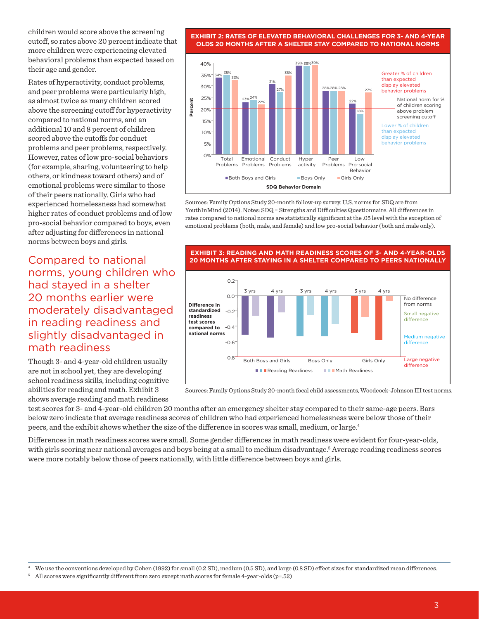children would score above the screening cutoff, so rates above 20 percent indicate that more children were experiencing elevated behavioral problems than expected based on their age and gender.

Rates of hyperactivity, conduct problems, and peer problems were particularly high, as almost twice as many children scored above the screening cutoff for hyperactivity compared to national norms, and an additional 10 and 8 percent of children scored above the cutoffs for conduct problems and peer problems, respectively. However, rates of low pro-social behaviors (for example, sharing, volunteering to help others, or kindness toward others) and of emotional problems were similar to those of their peers nationally. Girls who had experienced homelessness had somewhat higher rates of conduct problems and of low pro-social behavior compared to boys, even after adjusting for differences in national norms between boys and girls.

Compared to national norms, young children who had stayed in a shelter 20 months earlier were moderately disadvantaged in reading readiness and slightly disadvantaged in math readiness

Though 3- and 4-year-old children usually are not in school yet, they are developing school readiness skills, including cognitive abilities for reading and math. Exhibit 3 shows average reading and math readiness

**EXHIBIT 2: RATES OF ELEVATED BEHAVIORAL CHALLENGES FOR 3- AND 4-YEAR OLDS 20 MONTHS AFTER A SHELTER STAY COMPARED TO NATIONAL NORMS**



Sources: Family Options Study 20-month follow-up survey. U.S. norms for SDQ are from YouthInMind (2014). Notes: SDQ = Strengths and Difficulties Questionnaire. All differences in rates compared to national norms are statistically significant at the .05 level with the exception of emotional problems (both, male, and female) and low pro-social behavior (both and male only).



Sources: Family Options Study 20-month focal child assessments, Woodcock-Johnson III test norms.

test scores for 3- and 4-year-old children 20 months after an emergency shelter stay compared to their same-age peers. Bars below zero indicate that average readiness scores of children who had experienced homelessness were below those of their peers, and the exhibit shows whether the size of the difference in scores was small, medium, or large.4

Differences in math readiness scores were small. Some gender differences in math readiness were evident for four-year-olds, with girls scoring near national averages and boys being at a small to medium disadvantage.<sup>5</sup> Average reading readiness scores were more notably below those of peers nationally, with little difference between boys and girls.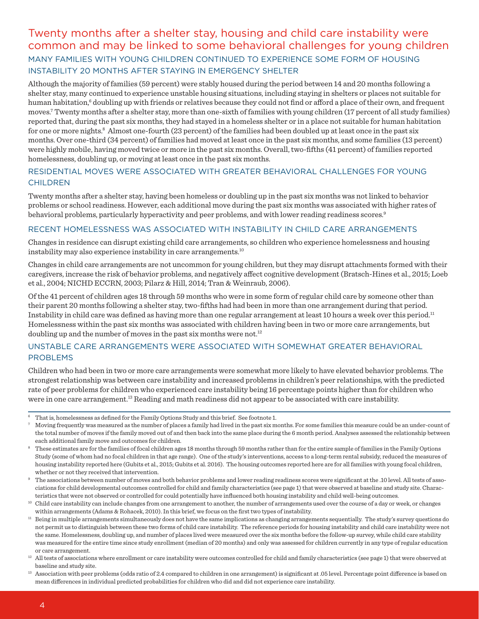## Twenty months after a shelter stay, housing and child care instability were common and may be linked to some behavioral challenges for young children MANY FAMILIES WITH YOUNG CHILDREN CONTINUED TO EXPERIENCE SOME FORM OF HOUSING INSTABILITY 20 MONTHS AFTER STAYING IN EMERGENCY SHELTER

Although the majority of families (59 percent) were stably housed during the period between 14 and 20 months following a shelter stay, many continued to experience unstable housing situations, including staying in shelters or places not suitable for human habitation,<sup>6</sup> doubling up with friends or relatives because they could not find or afford a place of their own, and frequent moves.7 Twenty months after a shelter stay, more than one-sixth of families with young children (17 percent of all study families) reported that, during the past six months, they had stayed in a homeless shelter or in a place not suitable for human habitation for one or more nights.<sup>8</sup> Almost one-fourth (23 percent) of the families had been doubled up at least once in the past six months. Over one-third (34 percent) of families had moved at least once in the past six months, and some families (13 percent) were highly mobile, having moved twice or more in the past six months. Overall, two-fifths (41 percent) of families reported homelessness, doubling up, or moving at least once in the past six months.

#### RESIDENTIAL MOVES WERE ASSOCIATED WITH GREATER BEHAVIORAL CHALLENGES FOR YOUNG CHILDREN

Twenty months after a shelter stay, having been homeless or doubling up in the past six months was not linked to behavior problems or school readiness. However, each additional move during the past six months was associated with higher rates of behavioral problems, particularly hyperactivity and peer problems, and with lower reading readiness scores.<sup>9</sup>

#### RECENT HOMELESSNESS WAS ASSOCIATED WITH INSTABILITY IN CHILD CARE ARRANGEMENTS

Changes in residence can disrupt existing child care arrangements, so children who experience homelessness and housing instability may also experience instability in care arrangements.10

Changes in child care arrangements are not uncommon for young children, but they may disrupt attachments formed with their caregivers, increase the risk of behavior problems, and negatively affect cognitive development (Bratsch-Hines et al., 2015; Loeb et al., 2004; NICHD ECCRN, 2003; Pilarz & Hill, 2014; Tran & Weinraub, 2006).

Of the 41 percent of children ages 18 through 59 months who were in some form of regular child care by someone other than their parent 20 months following a shelter stay, two-fifths had had been in more than one arrangement during that period. Instability in child care was defined as having more than one regular arrangement at least 10 hours a week over this period.<sup>11</sup> Homelessness within the past six months was associated with children having been in two or more care arrangements, but doubling up and the number of moves in the past six months were not.<sup>12</sup>

### UNSTABLE CARE ARRANGEMENTS WERE ASSOCIATED WITH SOMEWHAT GREATER BEHAVIORAL PROBLEMS

Children who had been in two or more care arrangements were somewhat more likely to have elevated behavior problems. The strongest relationship was between care instability and increased problems in children's peer relationships, with the predicted rate of peer problems for children who experienced care instability being 16 percentage points higher than for children who were in one care arrangement.<sup>13</sup> Reading and math readiness did not appear to be associated with care instability.

- <sup>7</sup> Moving frequently was measured as the number of places a family had lived in the past six months. For some families this measure could be an under-count of the total number of moves if the family moved out of and then back into the same place during the 6 month period. Analyses assessed the relationship between each additional family move and outcomes for children.<br>These estimates are for the families of focal children ages 18 months through 59 months rather than for the entire sample of families in the Family Options
- Study (some of whom had no focal children in that age range). One of the study's interventions, access to a long-term rental subsidy, reduced the measures of housing instability reported here (Gubits et al., 2015; Gubits et al. 2016). The housing outcomes reported here are for all families with young focal children, whether or not they received that intervention.
- The associations between number of moves and both behavior problems and lower reading readiness scores were significant at the .10 level. All tests of associations for child developmental outcomes controlled for child and family characteristics (see page 1) that were observed at baseline and study site. Characteristics that were not observed or controlled for could potentially have influenced both housing instability and child well-being outcomes.
- <sup>10</sup> Child care instability can include changes from one arrangement to another, the number of arrangements used over the course of a day or week, or changes within arrangements (Adams & Rohacek, 2010). In this brief, we focus on the first two types of instability.
- <sup>11</sup> Being in multiple arrangements simultaneously does not have the same implications as changing arrangements sequentially. The study's survey questions do not permit us to distinguish between these two forms of child care instability. The reference periods for housing instability and child care instability were not the same. Homelessness, doubling up, and number of places lived were measured over the six months before the follow-up survey, while child care stability was measured for the entire time since study enrollment (median of 20 months) and only was assessed for children currently in any type of regular education or care arrangement.
- <sup>12</sup> All tests of associations where enrollment or care instability were outcomes controlled for child and family characteristics (see page 1) that were observed at baseline and study site.

 $6$  That is, homelessness as defined for the Family Options Study and this brief. See footnote 1.

<sup>&</sup>lt;sup>13</sup> Association with peer problems (odds ratio of 2.4 compared to children in one arrangement) is significant at .05 level. Percentage point difference is based on mean differences in individual predicted probabilities for children who did and did not experience care instability.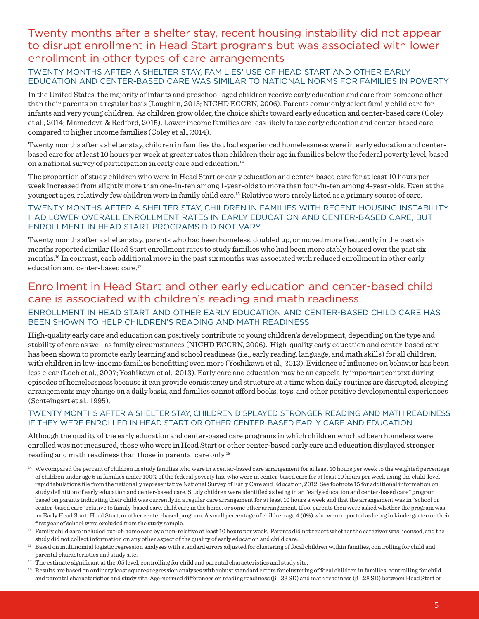## Twenty months after a shelter stay, recent housing instability did not appear to disrupt enrollment in Head Start programs but was associated with lower enrollment in other types of care arrangements

### TWENTY MONTHS AFTER A SHELTER STAY, FAMILIES' USE OF HEAD START AND OTHER EARLY EDUCATION AND CENTER-BASED CARE WAS SIMILAR TO NATIONAL NORMS FOR FAMILIES IN POVERTY

In the United States, the majority of infants and preschool-aged children receive early education and care from someone other than their parents on a regular basis (Laughlin, 2013; NICHD ECCRN, 2006). Parents commonly select family child care for infants and very young children. As children grow older, the choice shifts toward early education and center-based care (Coley et al., 2014; Mamedova & Redford, 2015). Lower income families are less likely to use early education and center-based care compared to higher income families (Coley et al., 2014).

Twenty months after a shelter stay, children in families that had experienced homelessness were in early education and centerbased care for at least 10 hours per week at greater rates than children their age in families below the federal poverty level, based on a national survey of participation in early care and education.14

The proportion of study children who were in Head Start or early education and center-based care for at least 10 hours per week increased from slightly more than one-in-ten among 1-year-olds to more than four-in-ten among 4-year-olds. Even at the youngest ages, relatively few children were in family child care.15 Relatives were rarely listed as a primary source of care.

#### TWENTY MONTHS AFTER A SHELTER STAY, CHILDREN IN FAMILIES WITH RECENT HOUSING INSTABILITY HAD LOWER OVERALL ENROLLMENT RATES IN EARLY EDUCATION AND CENTER-BASED CARE, BUT ENROLLMENT IN HEAD START PROGRAMS DID NOT VARY

Twenty months after a shelter stay, parents who had been homeless, doubled up, or moved more frequently in the past six months reported similar Head Start enrollment rates to study families who had been more stably housed over the past six months.16 In contrast, each additional move in the past six months was associated with reduced enrollment in other early education and center-based care.<sup>17</sup>

## Enrollment in Head Start and other early education and center-based child care is associated with children's reading and math readiness

### ENROLLMENT IN HEAD START AND OTHER EARLY EDUCATION AND CENTER-BASED CHILD CARE HAS BEEN SHOWN TO HELP CHILDREN'S READING AND MATH READINESS

High-quality early care and education can positively contribute to young children's development, depending on the type and stability of care as well as family circumstances (NICHD ECCRN, 2006). High-quality early education and center-based care has been shown to promote early learning and school readiness (i.e., early reading, language, and math skills) for all children, with children in low-income families benefitting even more (Yoshikawa et al., 2013). Evidence of influence on behavior has been less clear (Loeb et al., 2007; Yoshikawa et al., 2013). Early care and education may be an especially important context during episodes of homelessness because it can provide consistency and structure at a time when daily routines are disrupted, sleeping arrangements may change on a daily basis, and families cannot afford books, toys, and other positive developmental experiences (Schteingart et al., 1995).

#### TWENTY MONTHS AFTER A SHELTER STAY, CHILDREN DISPLAYED STRONGER READING AND MATH READINESS IF THEY WERE ENROLLED IN HEAD START OR OTHER CENTER-BASED EARLY CARE AND EDUCATION

Although the quality of the early education and center-based care programs in which children who had been homeless were enrolled was not measured, those who were in Head Start or other center-based early care and education displayed stronger reading and math readiness than those in parental care only.18

<sup>14</sup> We compared the percent of children in study families who were in a center-based care arrangement for at least 10 hours per week to the weighted percentage of children under age 5 in families under 100% of the federal poverty line who were in center-based care for at least 10 hours per week using the child-level rapid tabulations file from the nationally representative National Survey of Early Care and Education, 2012. See footnote 15 for additional information on study definition of early education and center-based care. Study children were identified as being in an "early education and center-based care" program based on parents indicating their child was currently in a regular care arrangement for at least 10 hours a week and that the arrangement was in "school or center-based care" relative to family-based care, child care in the home, or some other arrangement. If so, parents then were asked whether the program was an Early Head Start, Head Start, or other center-based program. A small percentage of children age 4 (6%) who were reported as being in kindergarten or their first year of school were excluded from the study sample.

- <sup>16</sup> Based on multinomial logistic regression analyses with standard errors adjusted for clustering of focal children within families, controlling for child and
- parental characteristics and study site.<br><sup>17</sup> The estimate significant at the .05 level, controlling for child and parental characteristics and study site.
- <sup>18</sup> Results are based on ordinary least squares regression analyses with robust standard errors for clustering of focal children in families, controlling for child and parental characteristics and study site. Age-normed differences on reading readiness (β=.33 SD) and math readiness (β=.28 SD) between Head Start or

<sup>15</sup> Family child care included out-of-home care by a non-relative at least 10 hours per week. Parents did not report whether the caregiver was licensed, and the study did not collect information on any other aspect of the quality of early education and child care.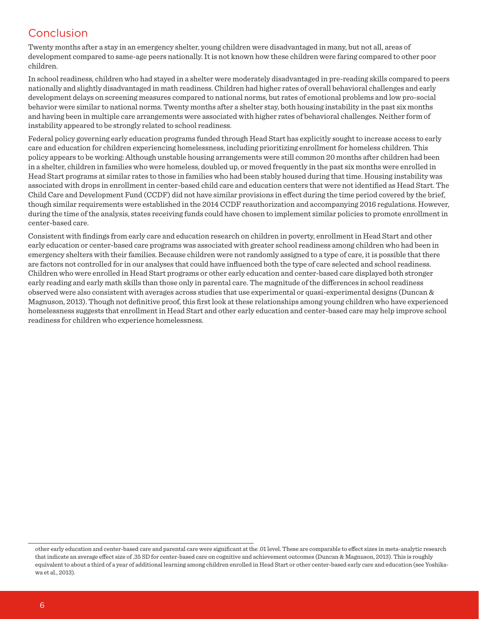## Conclusion

Twenty months after a stay in an emergency shelter, young children were disadvantaged in many, but not all, areas of development compared to same-age peers nationally. It is not known how these children were faring compared to other poor children.

In school readiness, children who had stayed in a shelter were moderately disadvantaged in pre-reading skills compared to peers nationally and slightly disadvantaged in math readiness. Children had higher rates of overall behavioral challenges and early development delays on screening measures compared to national norms, but rates of emotional problems and low pro-social behavior were similar to national norms. Twenty months after a shelter stay, both housing instability in the past six months and having been in multiple care arrangements were associated with higher rates of behavioral challenges. Neither form of instability appeared to be strongly related to school readiness.

Federal policy governing early education programs funded through Head Start has explicitly sought to increase access to early care and education for children experiencing homelessness, including prioritizing enrollment for homeless children. This policy appears to be working: Although unstable housing arrangements were still common 20 months after children had been in a shelter, children in families who were homeless, doubled up, or moved frequently in the past six months were enrolled in Head Start programs at similar rates to those in families who had been stably housed during that time. Housing instability was associated with drops in enrollment in center-based child care and education centers that were not identified as Head Start. The Child Care and Development Fund (CCDF) did not have similar provisions in effect during the time period covered by the brief, though similar requirements were established in the 2014 CCDF reauthorization and accompanying 2016 regulations. However, during the time of the analysis, states receiving funds could have chosen to implement similar policies to promote enrollment in center-based care.

Consistent with findings from early care and education research on children in poverty, enrollment in Head Start and other early education or center-based care programs was associated with greater school readiness among children who had been in emergency shelters with their families. Because children were not randomly assigned to a type of care, it is possible that there are factors not controlled for in our analyses that could have influenced both the type of care selected and school readiness. Children who were enrolled in Head Start programs or other early education and center-based care displayed both stronger early reading and early math skills than those only in parental care. The magnitude of the differences in school readiness observed were also consistent with averages across studies that use experimental or quasi-experimental designs (Duncan & Magnuson, 2013). Though not definitive proof, this first look at these relationships among young children who have experienced homelessness suggests that enrollment in Head Start and other early education and center-based care may help improve school readiness for children who experience homelessness.

other early education and center-based care and parental care were significant at the .01 level. These are comparable to effect sizes in meta-analytic research that indicate an average effect size of .35 SD for center-based care on cognitive and achievement outcomes (Duncan & Magnuson, 2013). This is roughly equivalent to about a third of a year of additional learning among children enrolled in Head Start or other center-based early care and education (see Yoshikawa et al., 2013).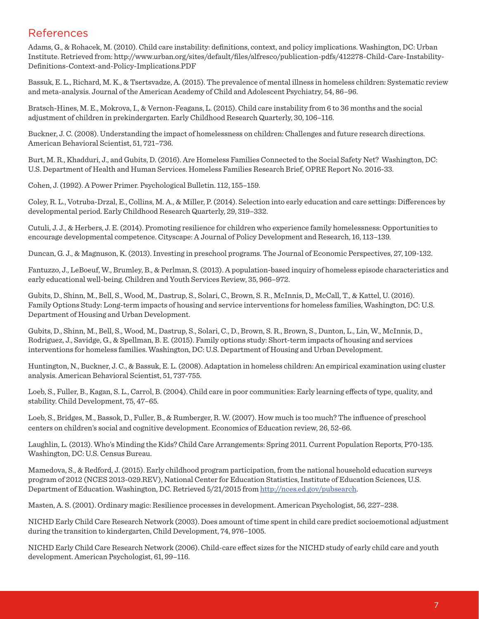## References

Adams, G., & Rohacek, M. (2010). Child care instability: definitions, context, and policy implications. Washington, DC: Urban Institute. Retrieved from: http://www.urban.org/sites/default/files/alfresco/publication-pdfs/412278-Child-Care-Instability-Definitions-Context-and-Policy-Implications.PDF

Bassuk, E. L., Richard, M. K., & Tsertsvadze, A. (2015). The prevalence of mental illness in homeless children: Systematic review and meta-analysis. Journal of the American Academy of Child and Adolescent Psychiatry, 54, 86–96.

Bratsch-Hines, M. E., Mokrova, I., & Vernon-Feagans, L. (2015). Child care instability from 6 to 36 months and the social adjustment of children in prekindergarten. Early Childhood Research Quarterly, 30, 106–116.

Buckner, J. C. (2008). Understanding the impact of homelessness on children: Challenges and future research directions. American Behavioral Scientist, 51, 721–736.

Burt, M. R., Khadduri, J., and Gubits, D. (2016). Are Homeless Families Connected to the Social Safety Net? Washington, DC: U.S. Department of Health and Human Services. Homeless Families Research Brief, OPRE Report No. 2016-33.

Cohen, J. (1992). A Power Primer. Psychological Bulletin. 112, 155–159.

Coley, R. L., Votruba-Drzal, E., Collins, M. A., & Miller, P. (2014). Selection into early education and care settings: Differences by developmental period. Early Childhood Research Quarterly, 29, 319–332.

Cutuli, J. J., & Herbers, J. E. (2014). Promoting resilience for children who experience family homelessness: Opportunities to encourage developmental competence. Cityscape: A Journal of Policy Development and Research, 16, 113–139.

Duncan, G. J., & Magnuson, K. (2013). Investing in preschool programs. The Journal of Economic Perspectives, 27, 109-132.

Fantuzzo, J., LeBoeuf, W., Brumley, B., & Perlman, S. (2013). A population-based inquiry of homeless episode characteristics and early educational well-being. Children and Youth Services Review, 35, 966–972.

Gubits, D., Shinn, M., Bell, S., Wood, M., Dastrup, S., Solari, C., Brown, S. R., McInnis, D,, McCall, T., & Kattel, U. (2016). Family Options Study: Long-term impacts of housing and service interventions for homeless families, Washington, DC: U.S. Department of Housing and Urban Development.

Gubits, D., Shinn, M., Bell, S., Wood, M., Dastrup, S., Solari, C., D., Brown, S. R., Brown, S., Dunton, L., Lin, W., McInnis, D., Rodriguez, J., Savidge, G., & Spellman, B. E. (2015). Family options study: Short-term impacts of housing and services interventions for homeless families. Washington, DC: U.S. Department of Housing and Urban Development.

Huntington, N., Buckner, J. C., & Bassuk, E. L. (2008). Adaptation in homeless children: An empirical examination using cluster analysis. American Behavioral Scientist, 51, 737-755.

Loeb, S., Fuller, B., Kagan, S. L., Carrol, B. (2004). Child care in poor communities: Early learning effects of type, quality, and stability. Child Development, 75, 47–65.

Loeb, S., Bridges, M., Bassok, D., Fuller, B., & Rumberger, R. W. (2007). How much is too much? The influence of preschool centers on children's social and cognitive development. Economics of Education review, 26, 52-66.

Laughlin, L. (2013). Who's Minding the Kids? Child Care Arrangements: Spring 2011. Current Population Reports, P70-135. Washington, DC: U.S. Census Bureau.

Mamedova, S., & Redford, J. (2015). Early childhood program participation, from the national household education surveys program of 2012 (NCES 2013-029.REV), National Center for Education Statistics, Institute of Education Sciences, U.S. Department of Education. Washington, DC. Retrieved 5/21/2015 from http://nces.ed.gov/pubsearch.

Masten, A. S. (2001). Ordinary magic: Resilience processes in development. American Psychologist, 56, 227–238.

NICHD Early Child Care Research Network (2003). Does amount of time spent in child care predict socioemotional adjustment during the transition to kindergarten, Child Development, 74, 976–1005.

NICHD Early Child Care Research Network (2006). Child-care effect sizes for the NICHD study of early child care and youth development. American Psychologist, 61, 99–116.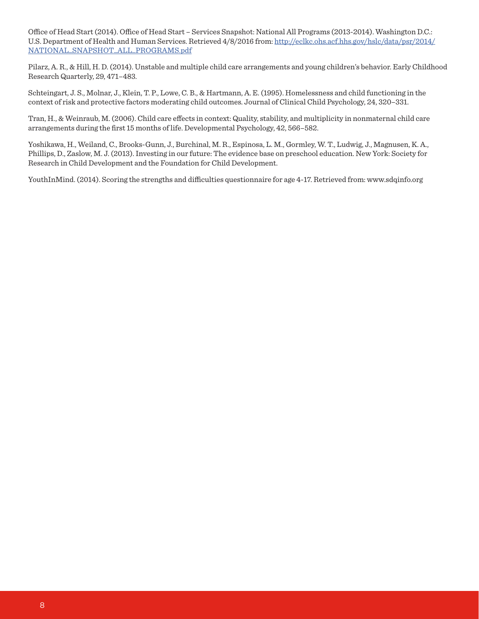Office of Head Start (2014). Office of Head Start – Services Snapshot: National All Programs (2013-2014). Washington D.C.: U.S. Department of Health and Human Services. Retrieved 4/8/2016 from: http://eclkc.ohs.acf.hhs.gov/hslc/data/psr/2014/ NATIONAL\_SNAPSHOT\_ALL\_PROGRAMS.pdf

Pilarz, A. R., & Hill, H. D. (2014). Unstable and multiple child care arrangements and young children's behavior. Early Childhood Research Quarterly, 29, 471–483.

Schteingart, J. S., Molnar, J., Klein, T. P., Lowe, C. B., & Hartmann, A. E. (1995). Homelessness and child functioning in the context of risk and protective factors moderating child outcomes. Journal of Clinical Child Psychology, 24, 320–331.

Tran, H., & Weinraub, M. (2006). Child care effects in context: Quality, stability, and multiplicity in nonmaternal child care arrangements during the first 15 months of life. Developmental Psychology, 42, 566–582.

Yoshikawa, H., Weiland, C., Brooks-Gunn, J., Burchinal, M. R., Espinosa, L. M., Gormley, W. T., Ludwig, J., Magnusen, K. A., Phillips, D., Zaslow, M. J. (2013). Investing in our future: The evidence base on preschool education. New York: Society for Research in Child Development and the Foundation for Child Development.

YouthInMind. (2014). Scoring the strengths and difficulties questionnaire for age 4-17. Retrieved from: www.sdqinfo.org